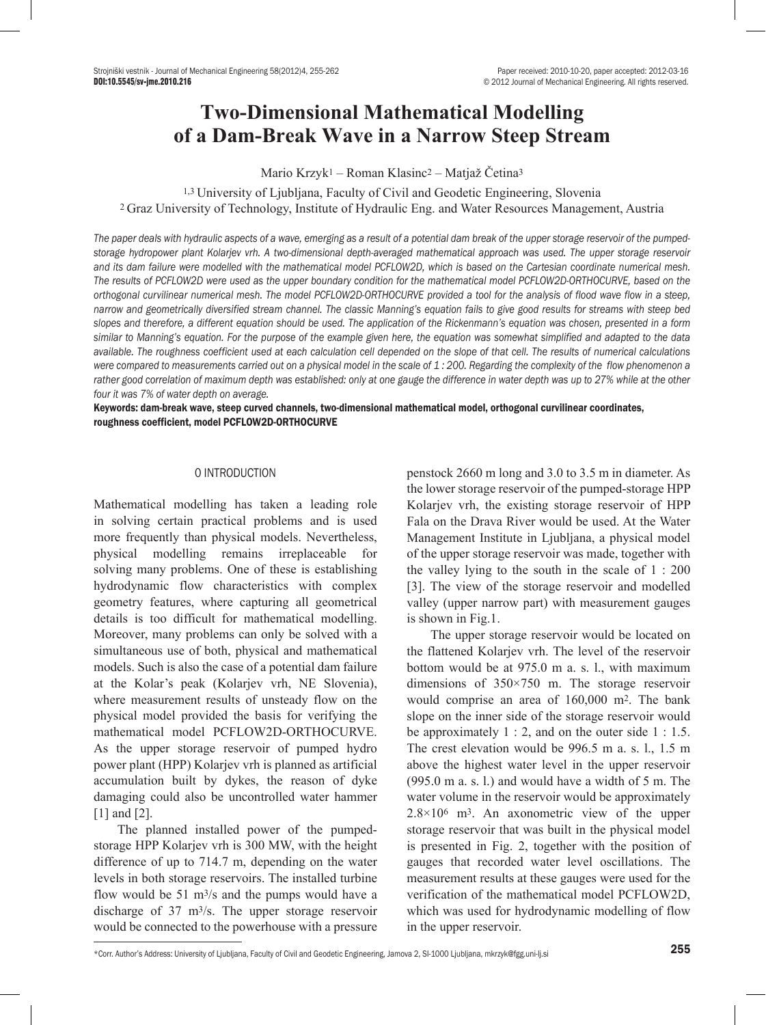# **Two-Dimensional Mathematical Modelling of a Dam-Break Wave in a Narrow Steep Stream**

Mario Krzyk1 – Roman Klasinc2 – Matjaž Četina<sup>3</sup>

1,3 University of Ljubljana, Faculty of Civil and Geodetic Engineering, Slovenia <sup>2</sup>Graz University of Technology, Institute of Hydraulic Eng. and Water Resources Management, Austria

*The paper deals with hydraulic aspects of a wave, emerging as a result of a potential dam break of the upper storage reservoir of the pumpedstorage hydropower plant Kolarjev vrh. A two-dimensional depth-averaged mathematical approach was used. The upper storage reservoir and its dam failure were modelled with the mathematical model PCFLOW2D, which is based on the Cartesian coordinate numerical mesh. The results of PCFLOW2D were used as the upper boundary condition for the mathematical model PCFLOW2D-ORTHOCURVE, based on the orthogonal curvilinear numerical mesh. The model PCFLOW2D-ORTHOCURVE provided a tool for the analysis of flood wave flow in a steep, narrow and geometrically diversified stream channel. The classic Manning's equation fails to give good results for streams with steep bed slopes and therefore, a different equation should be used. The application of the Rickenmann's equation was chosen, presented in a form similar to Manning's equation. For the purpose of the example given here, the equation was somewhat simplified and adapted to the data available. The roughness coefficient used at each calculation cell depended on the slope of that cell. The results of numerical calculations were compared to measurements carried out on a physical model in the scale of 1 : 200. Regarding the complexity of the flow phenomenon a*  rather good correlation of maximum depth was established: only at one gauge the difference in water depth was up to 27% while at the other *four it was 7% of water depth on average.*

Keywords: dam-break wave, steep curved channels, two-dimensional mathematical model, orthogonal curvilinear coordinates, roughness coefficient, model PCFLOW2D-ORTHOCURVE

## 0 INTRODUCTION

Mathematical modelling has taken a leading role in solving certain practical problems and is used more frequently than physical models. Nevertheless, physical modelling remains irreplaceable for solving many problems. One of these is establishing hydrodynamic flow characteristics with complex geometry features, where capturing all geometrical details is too difficult for mathematical modelling. Moreover, many problems can only be solved with a simultaneous use of both, physical and mathematical models. Such is also the case of a potential dam failure at the Kolar's peak (Kolarjev vrh, NE Slovenia), where measurement results of unsteady flow on the physical model provided the basis for verifying the mathematical model PCFLOW2D-ORTHOCURVE. As the upper storage reservoir of pumped hydro power plant (HPP) Kolarjev vrh is planned as artificial accumulation built by dykes, the reason of dyke damaging could also be uncontrolled water hammer [1] and [2].

The planned installed power of the pumpedstorage HPP Kolarjev vrh is 300 MW, with the height difference of up to 714.7 m, depending on the water levels in both storage reservoirs. The installed turbine flow would be 51 m3/s and the pumps would have a discharge of 37 m3/s. The upper storage reservoir would be connected to the powerhouse with a pressure

penstock 2660 m long and 3.0 to 3.5 m in diameter. As the lower storage reservoir of the pumped-storage HPP Kolarjev vrh, the existing storage reservoir of HPP Fala on the Drava River would be used. At the Water Management Institute in Ljubljana, a physical model of the upper storage reservoir was made, together with the valley lying to the south in the scale of 1 : 200 [3]. The view of the storage reservoir and modelled valley (upper narrow part) with measurement gauges is shown in Fig.1.

The upper storage reservoir would be located on the flattened Kolarjev vrh. The level of the reservoir bottom would be at 975.0 m a. s. l., with maximum dimensions of 350×750 m. The storage reservoir would comprise an area of 160,000 m2. The bank slope on the inner side of the storage reservoir would be approximately  $1:2$ , and on the outer side  $1:1.5$ . The crest elevation would be 996.5 m a. s. l., 1.5 m above the highest water level in the upper reservoir (995.0 m a. s. l.) and would have a width of 5 m. The water volume in the reservoir would be approximately 2.8×106 m3. An axonometric view of the upper storage reservoir that was built in the physical model is presented in Fig. 2, together with the position of gauges that recorded water level oscillations. The measurement results at these gauges were used for the verification of the mathematical model PCFLOW2D, which was used for hydrodynamic modelling of flow in the upper reservoir.

<sup>\*</sup>Corr. Author's Address: University of Ljubljana, Faculty of Civil and Geodetic Engineering, Jamova 2, SI-1000 Ljubljana, mkrzyk@fgg.uni-lj.si 255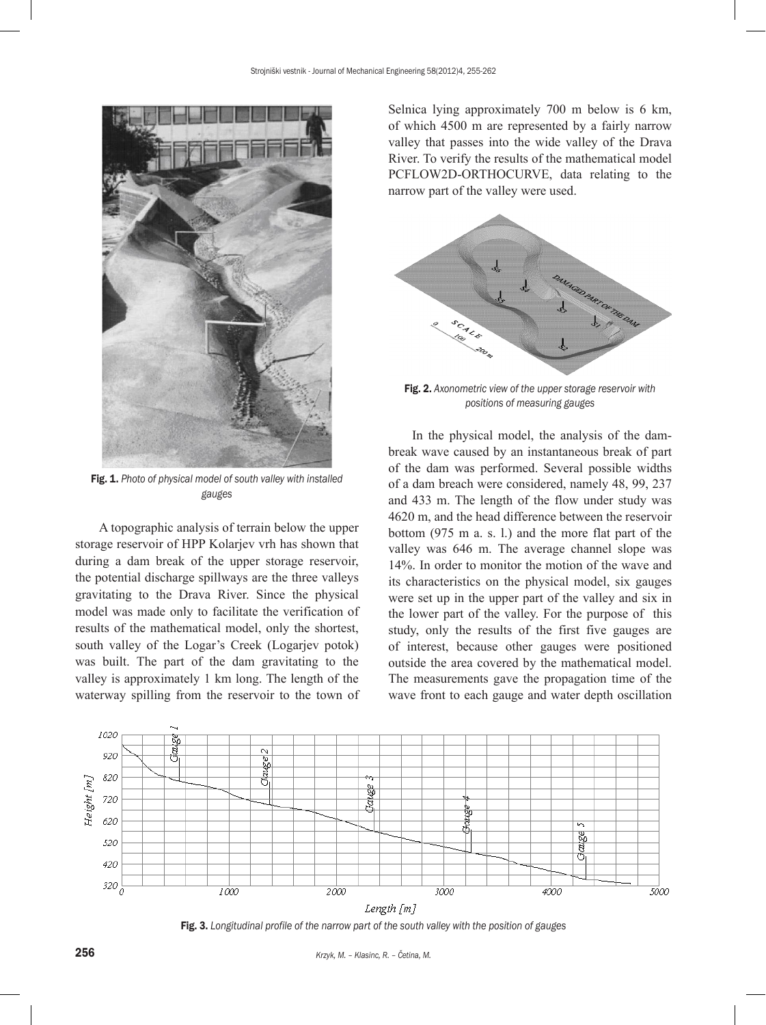

Fig. 1. *Photo of physical model of south valley with installed gauges*

A topographic analysis of terrain below the upper storage reservoir of HPP Kolarjev vrh has shown that during a dam break of the upper storage reservoir, the potential discharge spillways are the three valleys gravitating to the Drava River. Since the physical model was made only to facilitate the verification of results of the mathematical model, only the shortest, south valley of the Logar's Creek (Logarjev potok) was built. The part of the dam gravitating to the valley is approximately 1 km long. The length of the waterway spilling from the reservoir to the town of Selnica lying approximately 700 m below is 6 km, of which 4500 m are represented by a fairly narrow valley that passes into the wide valley of the Drava River. To verify the results of the mathematical model PCFLOW2D-ORTHOCURVE, data relating to the narrow part of the valley were used.



Fig. 2. *Axonometric view of the upper storage reservoir with positions of measuring gauges*

In the physical model, the analysis of the dambreak wave caused by an instantaneous break of part of the dam was performed. Several possible widths of a dam breach were considered, namely 48, 99, 237 and 433 m. The length of the flow under study was 4620 m, and the head difference between the reservoir bottom (975 m a. s. l.) and the more flat part of the valley was 646 m. The average channel slope was 14%. In order to monitor the motion of the wave and its characteristics on the physical model, six gauges were set up in the upper part of the valley and six in the lower part of the valley. For the purpose of this study, only the results of the first five gauges are of interest, because other gauges were positioned outside the area covered by the mathematical model. The measurements gave the propagation time of the wave front to each gauge and water depth oscillation



Fig. 3. *Longitudinal profile of the narrow part of the south valley with the position of gauges*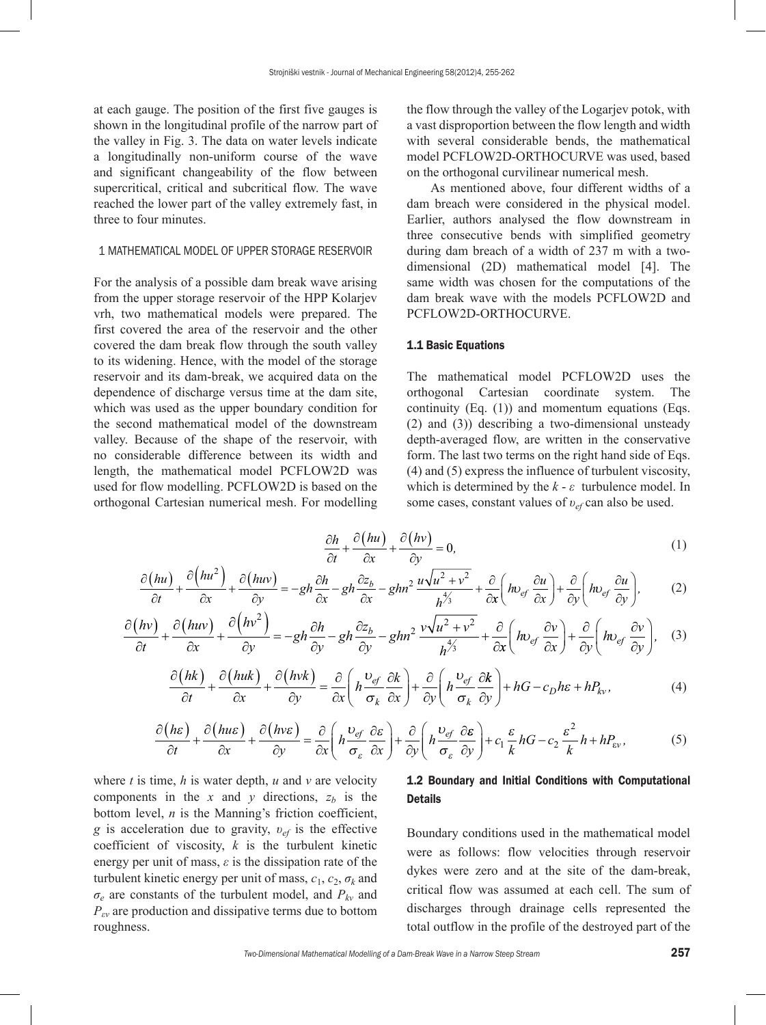at each gauge. The position of the first five gauges is shown in the longitudinal profile of the narrow part of the valley in Fig. 3. The data on water levels indicate a longitudinally non-uniform course of the wave and significant changeability of the flow between supercritical, critical and subcritical flow. The wave reached the lower part of the valley extremely fast, in three to four minutes.

### 1 MATHEMATICAL MODEL OF UPPER STORAGE RESERVOIR

For the analysis of a possible dam break wave arising from the upper storage reservoir of the HPP Kolarjev vrh, two mathematical models were prepared. The first covered the area of the reservoir and the other covered the dam break flow through the south valley to its widening. Hence, with the model of the storage reservoir and its dam-break, we acquired data on the dependence of discharge versus time at the dam site, which was used as the upper boundary condition for the second mathematical model of the downstream valley. Because of the shape of the reservoir, with no considerable difference between its width and length, the mathematical model PCFLOW2D was used for flow modelling. PCFLOW2D is based on the orthogonal Cartesian numerical mesh. For modelling the flow through the valley of the Logarjev potok, with a vast disproportion between the flow length and width with several considerable bends, the mathematical model PCFLOW2D-ORTHOCURVE was used, based on the orthogonal curvilinear numerical mesh.

As mentioned above, four different widths of a dam breach were considered in the physical model. Earlier, authors analysed the flow downstream in three consecutive bends with simplified geometry during dam breach of a width of 237 m with a twodimensional (2D) mathematical model [4]. The same width was chosen for the computations of the dam break wave with the models PCFLOW2D and PCFLOW2D-ORTHOCURVE.

#### 1.1 Basic Equations

The mathematical model PCFLOW2D uses the orthogonal Cartesian coordinate system. The continuity (Eq. (1)) and momentum equations (Eqs. (2) and (3)) describing a two-dimensional unsteady depth-averaged flow, are written in the conservative form. The last two terms on the right hand side of Eqs. (4) and (5) express the influence of turbulent viscosity, which is determined by the  $k - \varepsilon$  turbulence model. In some cases, constant values of *υef* can also be used.

$$
\frac{\partial h}{\partial t} + \frac{\partial (hu)}{\partial x} + \frac{\partial (hv)}{\partial y} = 0,\tag{1}
$$

$$
\frac{\partial (hu)}{\partial t} + \frac{\partial (hu^2)}{\partial x} + \frac{\partial (huv)}{\partial y} = -gh \frac{\partial h}{\partial x} - gh \frac{\partial z_b}{\partial x} - ghn^2 \frac{u\sqrt{u^2 + v^2}}{h^{\frac{4}{3}}} + \frac{\partial}{\partial x} \left( hv_{ef} \frac{\partial u}{\partial x} \right) + \frac{\partial}{\partial y} \left( hv_{ef} \frac{\partial u}{\partial y} \right),
$$
 (2)

$$
\frac{\partial (hv)}{\partial t} + \frac{\partial (huv)}{\partial x} + \frac{\partial (hv^2)}{\partial y} = -gh \frac{\partial h}{\partial y} - gh \frac{\partial z_b}{\partial y} - ghn^2 \frac{v\sqrt{u^2 + v^2}}{h^{4/3}} + \frac{\partial}{\partial x} \left( hv_{ef} \frac{\partial v}{\partial x} \right) + \frac{\partial}{\partial y} \left( hv_{ef} \frac{\partial v}{\partial y} \right), \quad (3)
$$

$$
\frac{\partial (hk)}{\partial t} + \frac{\partial (huk)}{\partial x} + \frac{\partial (hvk)}{\partial y} = \frac{\partial}{\partial x} \left( h \frac{\nu_{ef}}{\sigma_k} \frac{\partial k}{\partial x} \right) + \frac{\partial}{\partial y} \left( h \frac{\nu_{ef}}{\sigma_k} \frac{\partial k}{\partial y} \right) + hG - c_D h \varepsilon + hP_{kv}, \tag{4}
$$

$$
\frac{\partial (h\varepsilon)}{\partial t} + \frac{\partial (h u\varepsilon)}{\partial x} + \frac{\partial (h v\varepsilon)}{\partial y} = \frac{\partial}{\partial x} \left( h \frac{v_{\varepsilon f}}{\sigma_{\varepsilon}} \frac{\partial \varepsilon}{\partial x} \right) + \frac{\partial}{\partial y} \left( h \frac{v_{\varepsilon f}}{\sigma_{\varepsilon}} \frac{\partial \varepsilon}{\partial y} \right) + c_1 \frac{\varepsilon}{k} h G - c_2 \frac{\varepsilon^2}{k} h + h P_{\varepsilon v},\tag{5}
$$

where *t* is time, *h* is water depth, *u* and *v* are velocity components in the  $x$  and  $y$  directions,  $z_b$  is the bottom level, *n* is the Manning's friction coefficient, *g* is acceleration due to gravity, *υef* is the effective coefficient of viscosity, *k* is the turbulent kinetic energy per unit of mass,  $\varepsilon$  is the dissipation rate of the turbulent kinetic energy per unit of mass,  $c_1$ ,  $c_2$ ,  $\sigma_k$  and *σe* are constants of the turbulent model, and *Pkv* and *Pεv* are production and dissipative terms due to bottom roughness.

## 1.2 Boundary and Initial Conditions with Computational Details

Boundary conditions used in the mathematical model were as follows: flow velocities through reservoir dykes were zero and at the site of the dam-break, critical flow was assumed at each cell. The sum of discharges through drainage cells represented the total outflow in the profile of the destroyed part of the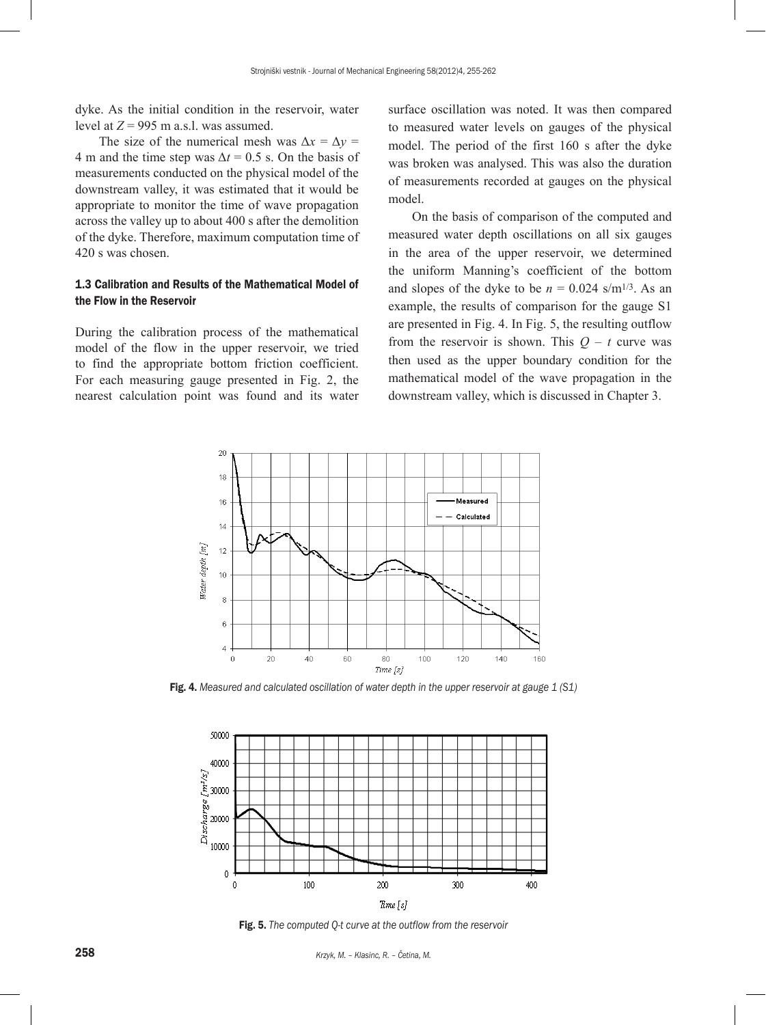dyke. As the initial condition in the reservoir, water level at  $Z = 995$  m a.s.l. was assumed.

The size of the numerical mesh was  $\Delta x = \Delta y$ 4 m and the time step was  $\Delta t = 0.5$  s. On the basis of measurements conducted on the physical model of the downstream valley, it was estimated that it would be appropriate to monitor the time of wave propagation across the valley up to about 400 s after the demolition of the dyke. Therefore, maximum computation time of 420 s was chosen.

## 1.3 Calibration and Results of the Mathematical Model of the Flow in the Reservoir

During the calibration process of the mathematical model of the flow in the upper reservoir, we tried to find the appropriate bottom friction coefficient. For each measuring gauge presented in Fig. 2, the nearest calculation point was found and its water surface oscillation was noted. It was then compared to measured water levels on gauges of the physical model. The period of the first 160 s after the dyke was broken was analysed. This was also the duration of measurements recorded at gauges on the physical model.

On the basis of comparison of the computed and measured water depth oscillations on all six gauges in the area of the upper reservoir, we determined the uniform Manning's coefficient of the bottom and slopes of the dyke to be  $n = 0.024$  s/m<sup>1/3</sup>. As an example, the results of comparison for the gauge S1 are presented in Fig. 4. In Fig. 5, the resulting outflow from the reservoir is shown. This  $Q - t$  curve was then used as the upper boundary condition for the mathematical model of the wave propagation in the downstream valley, which is discussed in Chapter 3.



Fig. 4. *Measured and calculated oscillation of water depth in the upper reservoir at gauge 1 (S1)*



Fig. 5. *The computed Q-t curve at the outflow from the reservoir*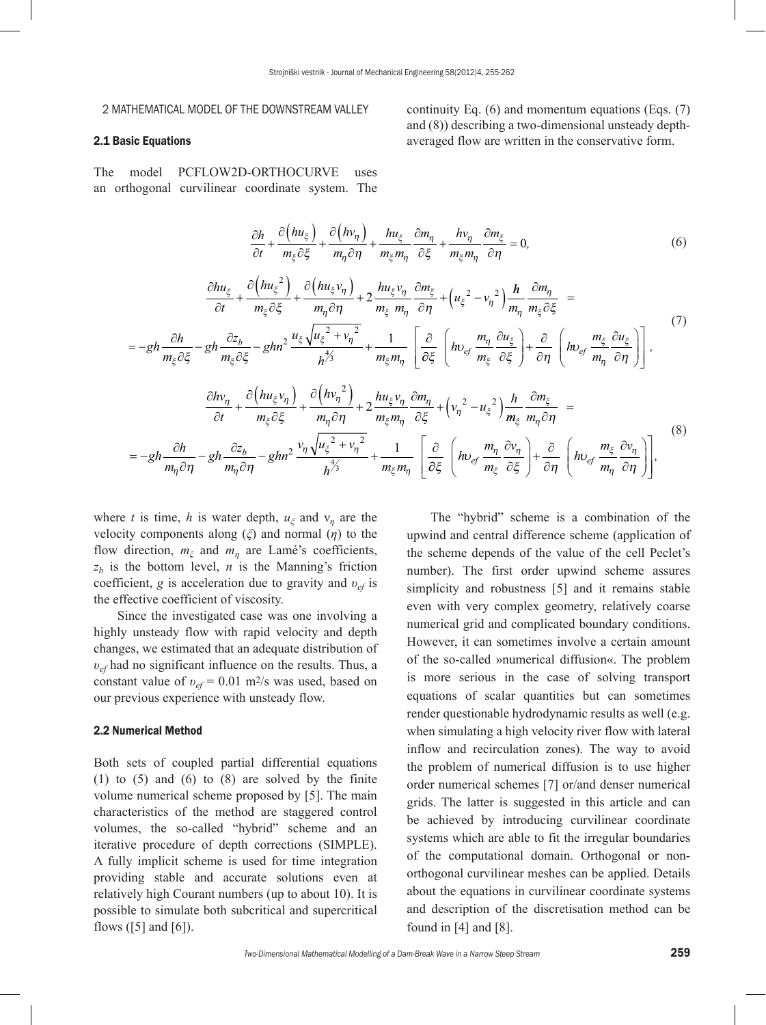#### 2 MATHEMATICAL MODEL OF THE DOWNSTREAM VALLEY

#### 2.1 Basic Equations

The model PCFLOW2D-ORTHOCURVE uses an orthogonal curvilinear coordinate system. The

$$
\frac{\partial h}{\partial t} + \frac{\partial \left(hu_{\xi}\right)}{m_{\xi}\partial \xi} + \frac{\partial \left(hv_{\eta}\right)}{m_{\eta}\partial \eta} + \frac{hu_{\xi}}{m_{\xi}m_{\eta}}\frac{\partial m_{\eta}}{\partial \xi} + \frac{hv_{\eta}}{m_{\xi}m_{\eta}}\frac{\partial m_{\xi}}{\partial \eta} = 0, \tag{6}
$$

$$
\frac{\partial h u_{\xi}}{\partial t} + \frac{\partial \left(h u_{\xi}^{2}\right)}{m_{\xi}\partial \xi} + \frac{\partial \left(h u_{\xi} v_{\eta}\right)}{m_{\eta}\partial \eta} + 2 \frac{h u_{\xi} v_{\eta}}{m_{\xi} m_{\eta}} \frac{\partial m_{\xi}}{\partial \eta} + \left(u_{\xi}^{2} - v_{\eta}^{2}\right) \frac{h}{m_{\eta}} \frac{\partial m_{\eta}}{m_{\xi}\partial \xi} =
$$
\n
$$
= -gh \frac{\partial h}{m_{\xi}\partial \xi} - gh \frac{\partial z_{b}}{m_{\xi}\partial \xi} - ghn^{2} \frac{u_{\xi}\sqrt{u_{\xi}^{2} + v_{\eta}^{2}}}{h^{\frac{4}{3}}} + \frac{1}{m_{\xi} m_{\eta}} \left[\frac{\partial}{\partial \xi}\left(h v_{ef} \frac{m_{\eta}}{m_{\xi}} \frac{\partial u_{\xi}}{\partial \xi}\right) + \frac{\partial}{\partial \eta}\left(h v_{ef} \frac{m_{\xi}}{m_{\eta}} \frac{\partial u_{\xi}}{\partial \eta}\right)\right],
$$
\n
$$
\frac{\partial h v_{n}}{\partial v_{n}} - \frac{\partial \left(h u_{\xi} v_{n}\right)}{\partial \eta} - \frac{\partial \left(h v_{n}^{2}\right)}{\partial \eta} - hu_{\xi} v_{n} \frac{\partial m_{n}}{\partial \eta} - \frac{\partial v_{n}}{\partial \eta} \frac{\partial m_{\xi}}{\partial \eta}.
$$
\n(7)

$$
\frac{\partial h v_{\eta}}{\partial t} + \frac{\partial \left(h u_{\xi} v_{\eta}\right)}{m_{\xi}\partial \xi} + \frac{\partial \left(h v_{\eta}^2\right)}{m_{\eta}\partial \eta} + 2\frac{h u_{\xi} v_{\eta}}{m_{\xi} m_{\eta}} \frac{\partial m_{\eta}}{\partial \xi} + \left(v_{\eta}^2 - u_{\xi}^2\right) \frac{h}{m_{\xi}} \frac{\partial m_{\xi}}{m_{\eta}\partial \eta} =
$$
\n
$$
= -gh \frac{\partial h}{m_{\eta}\partial \eta} - gh \frac{\partial z_b}{m_{\eta}\partial \eta} - ghn^2 \frac{v_{\eta}\sqrt{u_{\xi}^2 + v_{\eta}^2}}{h^{\frac{4}{3}}} + \frac{1}{m_{\xi} m_{\eta}} \left[\frac{\partial}{\partial \xi} \left(h v_{e f} \frac{m_{\eta}}{m_{\xi}} \frac{\partial v_{\eta}}{\partial \xi}\right) + \frac{\partial}{\partial \eta} \left(h v_{e f} \frac{m_{\xi}}{m_{\eta}} \frac{\partial v_{\eta}}{\partial \eta}\right)\right],
$$
\n(8)

where *t* is time, *h* is water depth,  $u_{\xi}$  and  $v_{\eta}$  are the velocity components along (*ξ*) and normal (*η*) to the flow direction, *mξ* and *mη* are Lamé's coefficients,  $z_b$  is the bottom level, *n* is the Manning's friction coefficient, *g* is acceleration due to gravity and *υef* is the effective coefficient of viscosity.

Since the investigated case was one involving a highly unsteady flow with rapid velocity and depth changes, we estimated that an adequate distribution of *υef* had no significant influence on the results. Thus, a constant value of *υef* = 0.01 m2/s was used, based on our previous experience with unsteady flow.

#### 2.2 Numerical Method

Both sets of coupled partial differential equations  $(1)$  to  $(5)$  and  $(6)$  to  $(8)$  are solved by the finite volume numerical scheme proposed by [5]. The main characteristics of the method are staggered control volumes, the so-called "hybrid" scheme and an iterative procedure of depth corrections (SIMPLE). A fully implicit scheme is used for time integration providing stable and accurate solutions even at relatively high Courant numbers (up to about 10). It is possible to simulate both subcritical and supercritical flows ( $[5]$  and  $[6]$ ).

The "hybrid" scheme is a combination of the upwind and central difference scheme (application of the scheme depends of the value of the cell Peclet's number). The first order upwind scheme assures simplicity and robustness [5] and it remains stable even with very complex geometry, relatively coarse numerical grid and complicated boundary conditions. However, it can sometimes involve a certain amount of the so-called »numerical diffusion«. The problem is more serious in the case of solving transport equations of scalar quantities but can sometimes render questionable hydrodynamic results as well (e.g. when simulating a high velocity river flow with lateral inflow and recirculation zones). The way to avoid the problem of numerical diffusion is to use higher order numerical schemes [7] or/and denser numerical grids. The latter is suggested in this article and can be achieved by introducing curvilinear coordinate systems which are able to fit the irregular boundaries of the computational domain. Orthogonal or nonorthogonal curvilinear meshes can be applied. Details about the equations in curvilinear coordinate systems and description of the discretisation method can be found in [4] and [8].

continuity Eq. (6) and momentum equations (Eqs. (7) and (8)) describing a two-dimensional unsteady depthaveraged flow are written in the conservative form.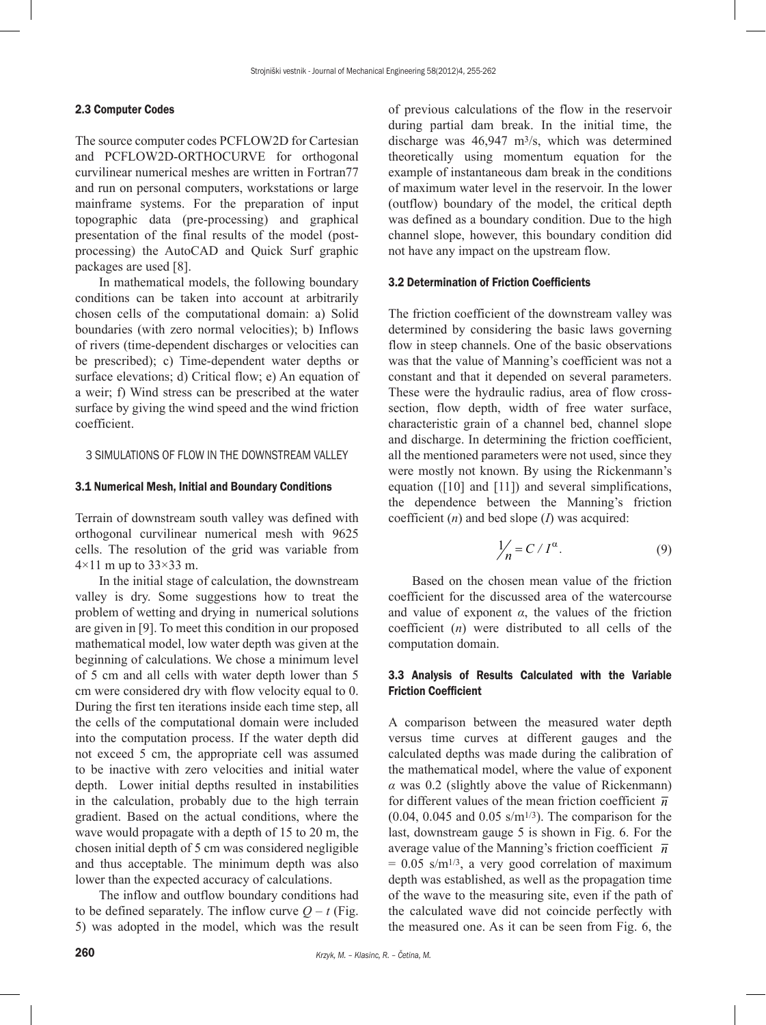#### 2.3 Computer Codes

The source computer codes PCFLOW2D for Cartesian and PCFLOW2D-ORTHOCURVE for orthogonal curvilinear numerical meshes are written in Fortran77 and run on personal computers, workstations or large mainframe systems. For the preparation of input topographic data (pre-processing) and graphical presentation of the final results of the model (postprocessing) the AutoCAD and Quick Surf graphic packages are used [8].

In mathematical models, the following boundary conditions can be taken into account at arbitrarily chosen cells of the computational domain: a) Solid boundaries (with zero normal velocities); b) Inflows of rivers (time-dependent discharges or velocities can be prescribed); c) Time-dependent water depths or surface elevations; d) Critical flow; e) An equation of a weir; f) Wind stress can be prescribed at the water surface by giving the wind speed and the wind friction coefficient.

## 3 SIMULATIONS OF FLOW IN THE DOWNSTREAM VALLEY

#### 3.1 Numerical Mesh, Initial and Boundary Conditions

Terrain of downstream south valley was defined with orthogonal curvilinear numerical mesh with 9625 cells. The resolution of the grid was variable from  $4\times11$  m up to  $33\times33$  m.

In the initial stage of calculation, the downstream valley is dry. Some suggestions how to treat the problem of wetting and drying in numerical solutions are given in [9]. To meet this condition in our proposed mathematical model, low water depth was given at the beginning of calculations. We chose a minimum level of 5 cm and all cells with water depth lower than 5 cm were considered dry with flow velocity equal to 0. During the first ten iterations inside each time step, all the cells of the computational domain were included into the computation process. If the water depth did not exceed 5 cm, the appropriate cell was assumed to be inactive with zero velocities and initial water depth.Lower initial depths resulted in instabilities in the calculation, probably due to the high terrain gradient. Based on the actual conditions, where the wave would propagate with a depth of 15 to 20 m, the chosen initial depth of 5 cm was considered negligible and thus acceptable. The minimum depth was also lower than the expected accuracy of calculations.

The inflow and outflow boundary conditions had to be defined separately. The inflow curve  $Q - t$  (Fig. 5) was adopted in the model, which was the result of previous calculations of the flow in the reservoir during partial dam break. In the initial time, the discharge was 46,947 m3/s, which was determined theoretically using momentum equation for the example of instantaneous dam break in the conditions of maximum water level in the reservoir. In the lower (outflow) boundary of the model, the critical depth was defined as a boundary condition. Due to the high channel slope, however, this boundary condition did not have any impact on the upstream flow.

#### 3.2 Determination of Friction Coefficients

The friction coefficient of the downstream valley was determined by considering the basic laws governing flow in steep channels. One of the basic observations was that the value of Manning's coefficient was not a constant and that it depended on several parameters. These were the hydraulic radius, area of flow crosssection, flow depth, width of free water surface, characteristic grain of a channel bed, channel slope and discharge. In determining the friction coefficient, all the mentioned parameters were not used, since they were mostly not known. By using the Rickenmann's equation  $(10]$  and  $[11]$ ) and several simplifications, the dependence between the Manning's friction coefficient (*n*) and bed slope (*I*) was acquired:

$$
\frac{1}{n} = C / I^{\alpha}.
$$
 (9)

Based on the chosen mean value of the friction coefficient for the discussed area of the watercourse and value of exponent  $\alpha$ , the values of the friction coefficient (*n*) were distributed to all cells of the computation domain.

## 3.3 Analysis of Results Calculated with the Variable Friction Coefficient

A comparison between the measured water depth versus time curves at different gauges and the calculated depths was made during the calibration of the mathematical model, where the value of exponent *α* was 0.2 (slightly above the value of Rickenmann) for different values of the mean friction coefficient  $\overline{n}$  $(0.04, 0.045, 0.045, 0.05, s/m^{1/3})$ . The comparison for the last, downstream gauge 5 is shown in Fig. 6. For the average value of the Manning's friction coefficient  $\bar{n}$  $= 0.05$  s/m<sup>1/3</sup>, a very good correlation of maximum depth was established, as well as the propagation time of the wave to the measuring site, even if the path of the calculated wave did not coincide perfectly with the measured one. As it can be seen from Fig. 6, the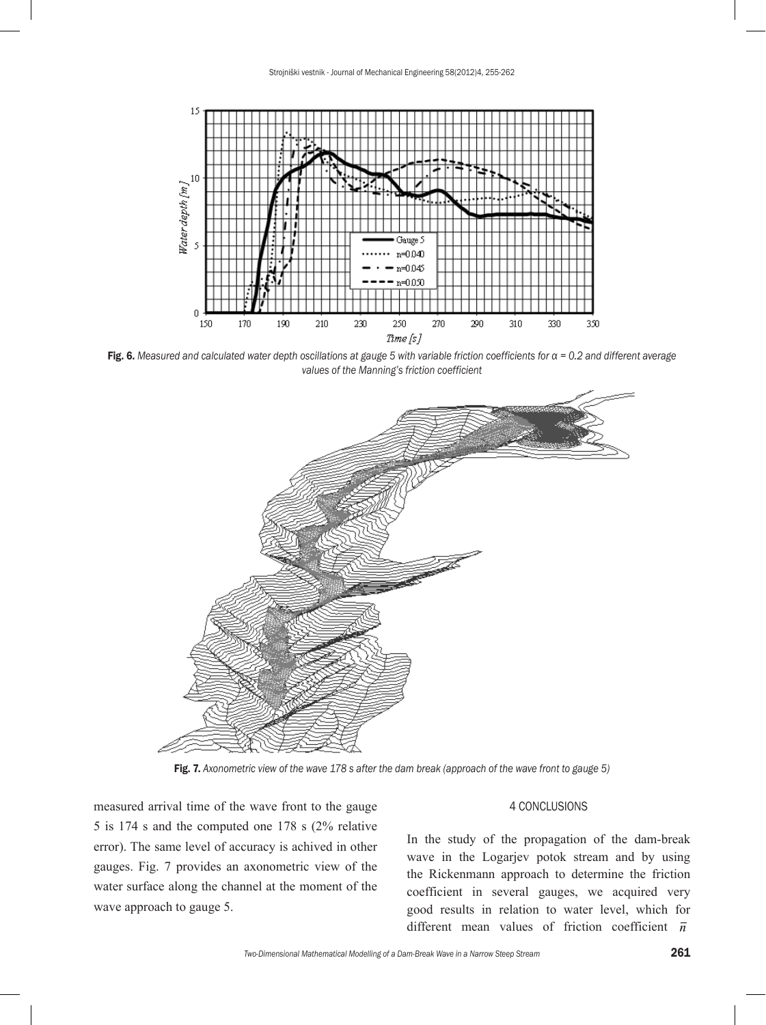

Fig. 6. *Measured and calculated water depth oscillations at gauge 5 with variable friction coefficients for α = 0.2 and different average values of the Manning's friction coefficient*



Fig. 7. *Axonometric view of the wave 178 s after the dam break (approach of the wave front to gauge 5)*

measured arrival time of the wave front to the gauge 5 is 174 s and the computed one 178 s (2% relative error). The same level of accuracy is achived in other gauges. Fig. 7 provides an axonometric view of the water surface along the channel at the moment of the wave approach to gauge 5.

## 4 CONCLUSIONS

In the study of the propagation of the dam-break wave in the Logarjev potok stream and by using the Rickenmann approach to determine the friction coefficient in several gauges, we acquired very good results in relation to water level, which for different mean values of friction coefficient *n*